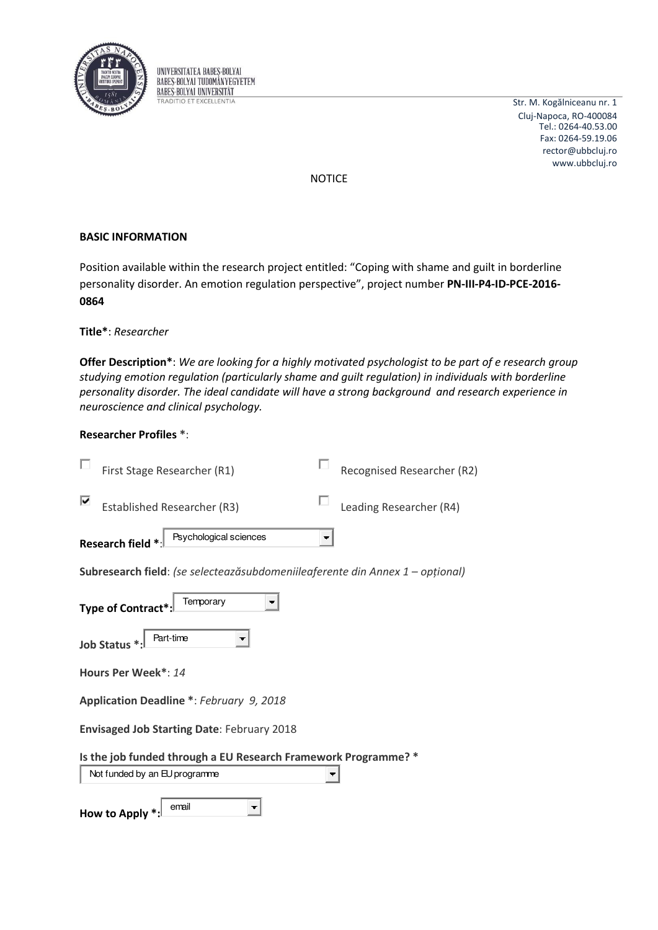

UNIVERSITATEA BABES-BOLYAI **BABES-BOLYAI TUDOMÁNYEGYETEM BABES-BOLYAI UNIVERSITAT TRADITIO ET EXCELLENTIA** 

Str. M. Kogălniceanu nr. 1 Cluj-Napoca, RO-400084 Tel.: 0264-40.53.00 Fax: 0264-59.19.06 rector@ubbcluj.ro www.ubbcluj.ro

**NOTICE** 

# **BASIC INFORMATION**

Position available within the research project entitled: "Coping with shame and guilt in borderline personality disorder. An emotion regulation perspective", project number PN-III-P4-ID-PCE-2016-0864

## Title\*: Researcher

Offer Description\*: We are looking for a highly motivated psychologist to be part of e research group studying emotion regulation (particularly shame and quilt regulation) in individuals with borderline personality disorder. The ideal candidate will have a strong background and research experience in neuroscience and clinical psychology.

## **Researcher Profiles \*:**

|                                                                | First Stage Researcher (R1)                                                   |   | Recognised Researcher (R2) |  |
|----------------------------------------------------------------|-------------------------------------------------------------------------------|---|----------------------------|--|
| ⊽                                                              | <b>Established Researcher (R3)</b>                                            |   | Leading Researcher (R4)    |  |
|                                                                | Psychological sciences<br>Research field *                                    | ▼ |                            |  |
|                                                                | Subresearch field: (se selecteazăsubdomeniileaferente din Annex 1 – opțional) |   |                            |  |
|                                                                | Temporary<br>Type of Contract*                                                |   |                            |  |
|                                                                | Part-time<br>Job Status <sup>*</sup>                                          |   |                            |  |
|                                                                | Hours Per Week*: 14                                                           |   |                            |  |
| Application Deadline *: February 9, 2018                       |                                                                               |   |                            |  |
| <b>Envisaged Job Starting Date: February 2018</b>              |                                                                               |   |                            |  |
| Is the job funded through a EU Research Framework Programme? * |                                                                               |   |                            |  |
|                                                                | Not funded by an EU programme                                                 |   |                            |  |
|                                                                | email<br>How to Apply                                                         |   |                            |  |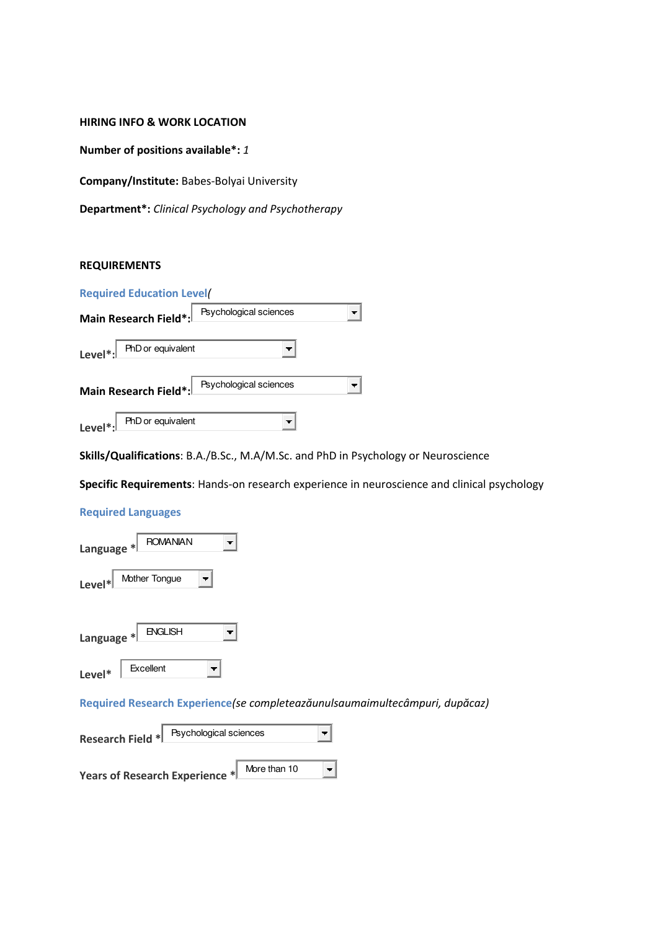### **HIRING INFO & WORK LOCATION**

**Number of positions available\*:** *1*

**Company/Institute:** Babes-Bolyai University

**Department\*:** *Clinical Psychology and Psychotherapy* 

# **REQUIREMENTS**

|            | <b>Required Education Level</b> |                        |  |
|------------|---------------------------------|------------------------|--|
|            | Main Research Field*:           | Psychological sciences |  |
| $Level*$ : | PhD or equivalent               |                        |  |
|            | Main Research Field*:           | Psychological sciences |  |
|            | PhD or equivalent               |                        |  |

**Skills/Qualifications**: B.A./B.Sc., M.A/M.Sc. and PhD in Psychology or Neuroscience

**Specific Requirements**: Hands-on research experience in neuroscience and clinical psychology

#### **Required Languages**

| <b>ROMANIAN</b><br>Language * |                |  |  |  |
|-------------------------------|----------------|--|--|--|
| $Level*$                      | Mother Tongue  |  |  |  |
| Language *                    | <b>ENGLISH</b> |  |  |  |
| Level*                        | Excellent      |  |  |  |

**Required Research Experience**(se completeazăunulsaumaimultecâmpuri, dupăcaz)

| Research Field *               | Psychological sciences |              |  |
|--------------------------------|------------------------|--------------|--|
| Years of Research Experience * |                        | More than 10 |  |